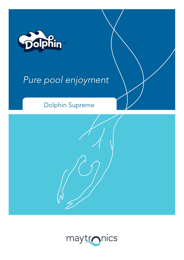

# Pure pool enjoyment

# Dolphin Supreme



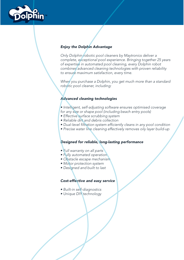

# **Enjoy the Dolphin Advantage**

Only Dolphin robotic pool cleaners by Maytronics deliver a complete, exceptional pool experience. Bringing together 25 years of expertise in automated pool cleaning, every Dolphin robot combines advanced cleaning technologies with proven reliability to ensure maximum satisfaction, every time.

When you purchase a Dolphin, you get much more than a standard robotic pool cleaner, including:

## **Advanced cleaning technologies**

• Intelligent, self-adjusting software ensures optimised coverage for any size or shape pool (including beach entry pools)

- Effective surface scrubbing system
- Reliable dirt and debris collection
- · Dual-level filtration system efficiently cleans in any pool condition
- Precise water line cleaning effectively removes oily layer build-up

### Designed for reliable, long-lasting performance

- Full warranty on all parts
- · Fully automated operation
- Obstacle escape mechanism
- · Motor protection system
- Designed and built to last

### **Cost-effective and easy service**

- · Built-in self-diagnostics
- Unique DIY technology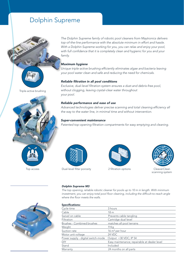# Dolphin Supreme



The Dolphin Supreme family of robotic pool cleaners from Maytronics delivers T top-of-the-line performance with the absolute minimum in effort and hassle. to With a Dolphin Supreme working for you, you can relax and enjoy your pool, with full confidence that it is completely clean and hygienic for you and your w family. fa

#### *Maximum hygiene M*

Unique triple-active brushing efficiently eliminates algae and bacteria leaving U your pool water clean and safe and reducing the need for chemicals.

#### *Reliable filtration in all pool conditions*

Exclusive, dual-level filtration system ensures a dust-and debris-free pool, without clogging, leaving crystal-clear water throughout your pool.

#### *Reliable performance and ease of use*

Advanced technologies deliver precise scanning and total cleaning efficiency all the way to the water line, in minimal time and without intervention.

#### *Super-convenient maintenance*

Patented top-opening filtration compartments for easy emptying and cleaning.





Top access Dual-level filter porosity

*Dolphin Supreme M3* 

where the floor meets the walls.



The top opening, reliable robotic cleaner for pools up to 10 m in length. With minimum investment, you can enjoy total pool floor cleaning, including the difficult-to-reach angle



scanning system



| <b>Specifications:</b>             |                                              |
|------------------------------------|----------------------------------------------|
| Cycle time                         | 3 hours                                      |
| Cable                              | 18 <sub>m</sub>                              |
| Swivel on cable                    | Prevents cable tangling                      |
| Filtration                         | Cartridge dual level                         |
| Brushes - Combined brushes         | matches all pool terrains                    |
| Weight                             | 9 Ka                                         |
| Suction rate                       | $16 \text{ m}^3$ per hour                    |
| Motor unit voltage                 | 24 VDC                                       |
| Power supply - digital switch-mode | Output <30 VDC; IP 54                        |
| <b>DIY</b>                         | Easy maintenance; repairable at dealer level |
| Stand                              | Included                                     |
| Warranty                           | 24 months on all parts                       |
|                                    |                                              |

Triple-active brushing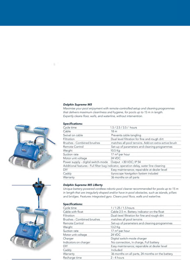#### **Dolphin Supreme M5**

Maximise your pool enjoyment with remote-controlled setup and cleaning programmes that delivers maximum cleanliness and hygiene, for pools up to 15 m in length. Expertly cleans floor, walls, and waterline, without intervention.

#### **Specifications:**

g.

| Cycle time                         | 1.5 / 2.5 / 3.5 / hours                                                               |
|------------------------------------|---------------------------------------------------------------------------------------|
| Cable                              | 18 <sub>m</sub>                                                                       |
| Swivel on cable                    | Prevents cable tangling                                                               |
| Filtration                         | Dual level filtration for fine and rough dirt                                         |
| Brushes - Combined brushes         | matches all pool terrains. Add-on extra-active brush                                  |
| Remote Control                     | Set-up of parameters and cleaning programmes                                          |
| Weight                             | 10.5 Kg                                                                               |
| Suction rate                       | 17 m <sup>3</sup> per hour                                                            |
| Motor unit voltage                 | 24 VDC                                                                                |
| Power supply - digital switch-mode | Output <30 VDC; IP 54                                                                 |
|                                    | Additional features - Full filter bag indicator, operation delay, water line cleaning |
| DIY                                | Easy maintenance; repairable at dealer level                                          |
| Caddy                              | Gyroscope Navigation System Included                                                  |
| Warranty                           | 36 months on all parts                                                                |
|                                    |                                                                                       |

#### **Dolphin Supreme M5 LIBerty**

Unique battery-powered cordless robotic pool cleaner recommended for pools up to 15 m in length that are irregularly shaped and/or have in-pool obstacles, such as islands, pillars and bridges. Features integrated gyro. Cleans pool floor, walls and waterline.

## **Specifications:**

| Cycle time                 | 1/1.25/1.5 hours                                 |
|----------------------------|--------------------------------------------------|
| Cable with float           | Cable 2.5 m. Battery indicator on the float      |
| Filtration                 | Dual-level filtration for fine and rough dirt    |
| Brushes - Combined brushes | matches all pool terrains                        |
| Remote Control             | Set-up of parameters and cleaning programmes     |
| Weight                     | 13.2 Kg                                          |
| Suction rate               | $17 m3$ per hour                                 |
| Motor unit voltage         | 24 VDC                                           |
| Charger                    | Digital switch-mode charger                      |
| Indicators on charger      | No connection, In charge, Full battery           |
| DIY                        | Easy maintenance; repairable at dealer level     |
| Caddy                      | Included                                         |
| Warranty                   | 36 months on all parts, 24 months on the battery |
| Recharge time              | $2 - 4$ hours                                    |



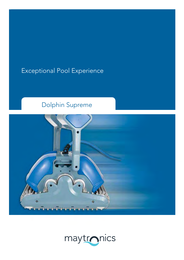# Exceptional Pool Experience

# Dolphin Supreme